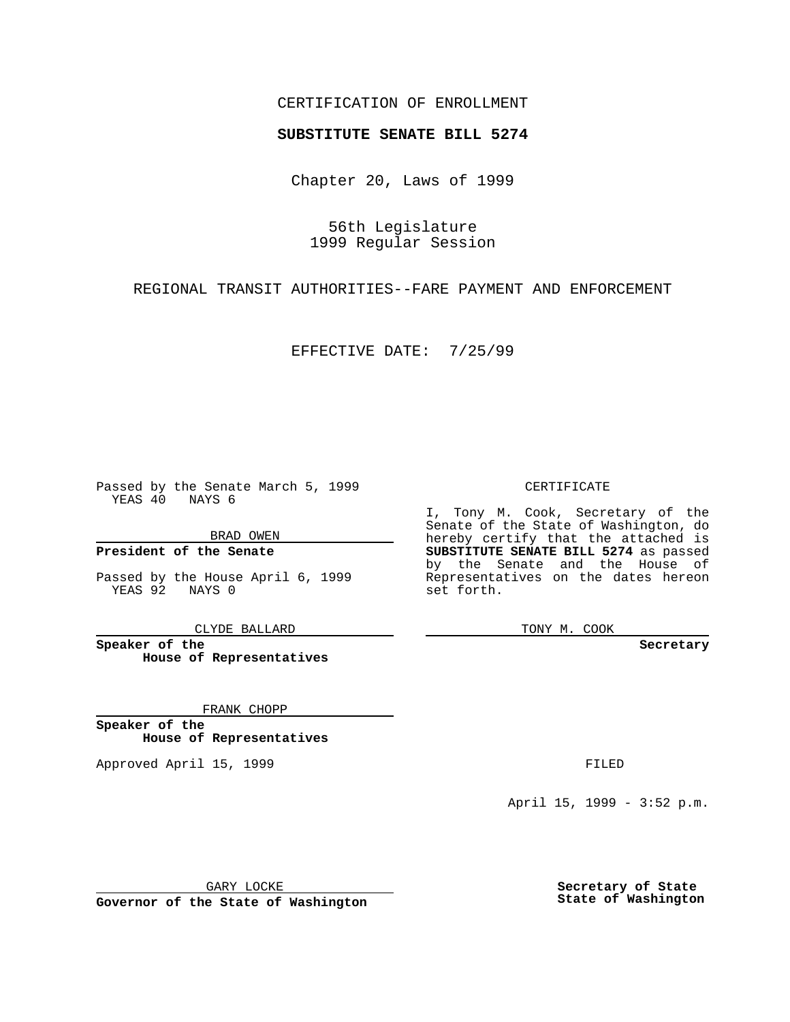### CERTIFICATION OF ENROLLMENT

# **SUBSTITUTE SENATE BILL 5274**

Chapter 20, Laws of 1999

56th Legislature 1999 Regular Session

REGIONAL TRANSIT AUTHORITIES--FARE PAYMENT AND ENFORCEMENT

EFFECTIVE DATE: 7/25/99

Passed by the Senate March 5, 1999 YEAS 40 NAYS 6

BRAD OWEN

**President of the Senate**

Passed by the House April 6, 1999 YEAS 92 NAYS 0

CLYDE BALLARD

**Speaker of the House of Representatives**

FRANK CHOPP

**Speaker of the House of Representatives**

Approved April 15, 1999 **FILED** 

#### CERTIFICATE

I, Tony M. Cook, Secretary of the Senate of the State of Washington, do hereby certify that the attached is **SUBSTITUTE SENATE BILL 5274** as passed by the Senate and the House of Representatives on the dates hereon set forth.

TONY M. COOK

**Secretary**

April 15, 1999 - 3:52 p.m.

GARY LOCKE

**Governor of the State of Washington**

**Secretary of State State of Washington**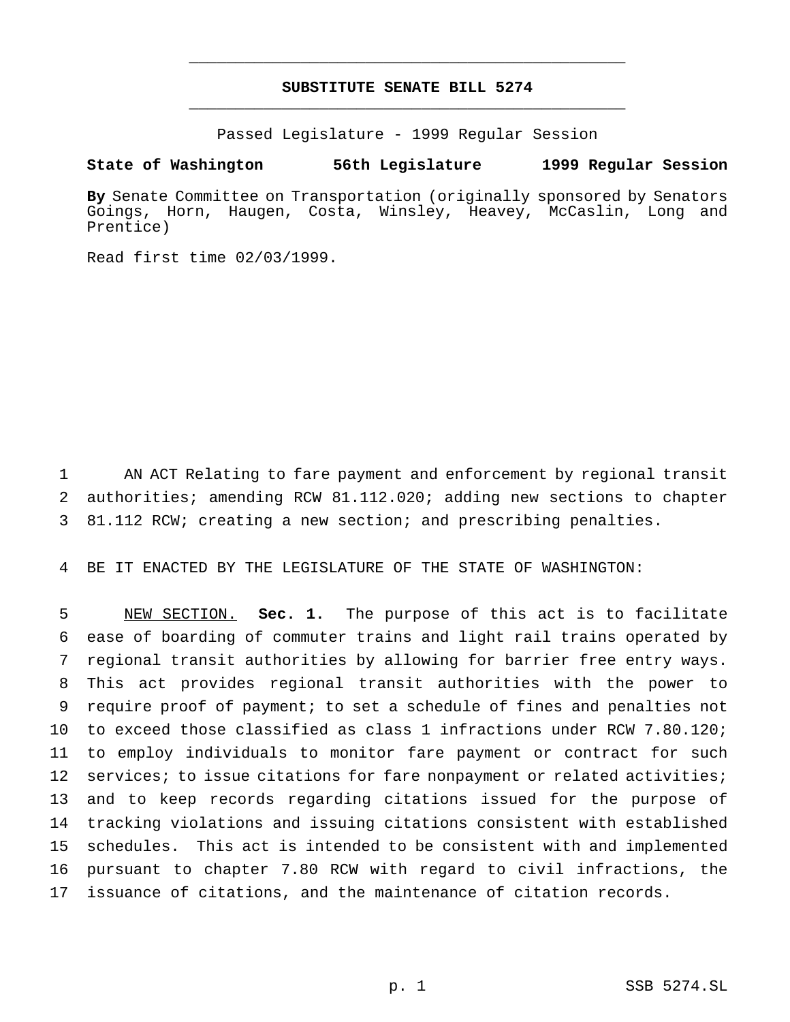# **SUBSTITUTE SENATE BILL 5274** \_\_\_\_\_\_\_\_\_\_\_\_\_\_\_\_\_\_\_\_\_\_\_\_\_\_\_\_\_\_\_\_\_\_\_\_\_\_\_\_\_\_\_\_\_\_\_

\_\_\_\_\_\_\_\_\_\_\_\_\_\_\_\_\_\_\_\_\_\_\_\_\_\_\_\_\_\_\_\_\_\_\_\_\_\_\_\_\_\_\_\_\_\_\_

Passed Legislature - 1999 Regular Session

### **State of Washington 56th Legislature 1999 Regular Session**

**By** Senate Committee on Transportation (originally sponsored by Senators Goings, Horn, Haugen, Costa, Winsley, Heavey, McCaslin, Long and Prentice)

Read first time 02/03/1999.

1 AN ACT Relating to fare payment and enforcement by regional transit 2 authorities; amending RCW 81.112.020; adding new sections to chapter 3 81.112 RCW; creating a new section; and prescribing penalties.

4 BE IT ENACTED BY THE LEGISLATURE OF THE STATE OF WASHINGTON:

 NEW SECTION. **Sec. 1.** The purpose of this act is to facilitate ease of boarding of commuter trains and light rail trains operated by regional transit authorities by allowing for barrier free entry ways. This act provides regional transit authorities with the power to require proof of payment; to set a schedule of fines and penalties not to exceed those classified as class 1 infractions under RCW 7.80.120; to employ individuals to monitor fare payment or contract for such 12 services; to issue citations for fare nonpayment or related activities; and to keep records regarding citations issued for the purpose of tracking violations and issuing citations consistent with established schedules. This act is intended to be consistent with and implemented pursuant to chapter 7.80 RCW with regard to civil infractions, the issuance of citations, and the maintenance of citation records.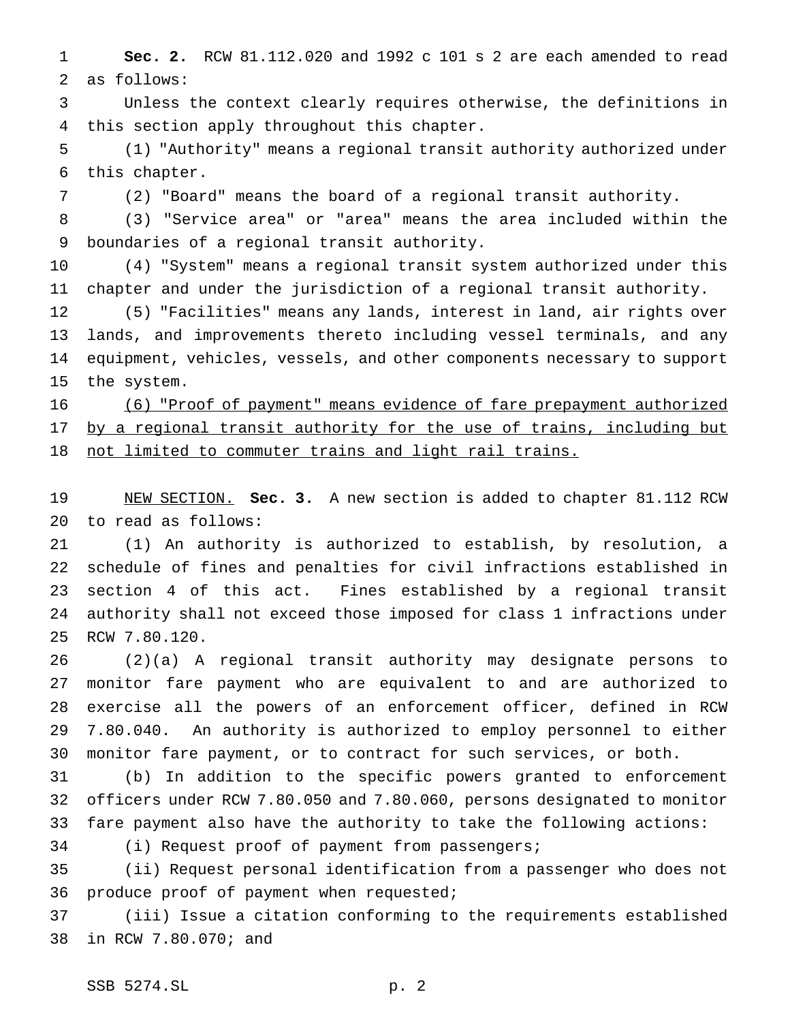**Sec. 2.** RCW 81.112.020 and 1992 c 101 s 2 are each amended to read as follows:

 Unless the context clearly requires otherwise, the definitions in this section apply throughout this chapter.

 (1) "Authority" means a regional transit authority authorized under this chapter.

(2) "Board" means the board of a regional transit authority.

 (3) "Service area" or "area" means the area included within the boundaries of a regional transit authority.

 (4) "System" means a regional transit system authorized under this chapter and under the jurisdiction of a regional transit authority.

 (5) "Facilities" means any lands, interest in land, air rights over lands, and improvements thereto including vessel terminals, and any equipment, vehicles, vessels, and other components necessary to support the system.

 (6) "Proof of payment" means evidence of fare prepayment authorized 17 by a regional transit authority for the use of trains, including but 18 not limited to commuter trains and light rail trains.

 NEW SECTION. **Sec. 3.** A new section is added to chapter 81.112 RCW to read as follows:

 (1) An authority is authorized to establish, by resolution, a schedule of fines and penalties for civil infractions established in section 4 of this act. Fines established by a regional transit authority shall not exceed those imposed for class 1 infractions under RCW 7.80.120.

 (2)(a) A regional transit authority may designate persons to monitor fare payment who are equivalent to and are authorized to exercise all the powers of an enforcement officer, defined in RCW 7.80.040. An authority is authorized to employ personnel to either monitor fare payment, or to contract for such services, or both.

 (b) In addition to the specific powers granted to enforcement officers under RCW 7.80.050 and 7.80.060, persons designated to monitor fare payment also have the authority to take the following actions:

(i) Request proof of payment from passengers;

 (ii) Request personal identification from a passenger who does not produce proof of payment when requested;

 (iii) Issue a citation conforming to the requirements established in RCW 7.80.070; and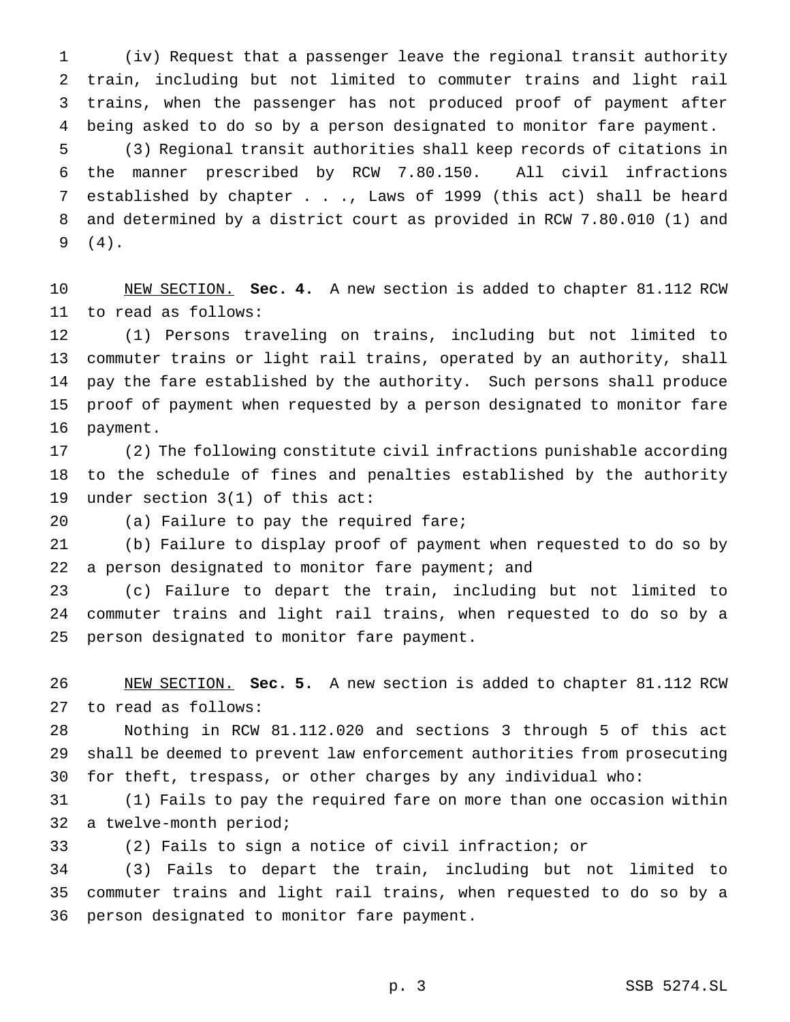(iv) Request that a passenger leave the regional transit authority train, including but not limited to commuter trains and light rail trains, when the passenger has not produced proof of payment after being asked to do so by a person designated to monitor fare payment. (3) Regional transit authorities shall keep records of citations in the manner prescribed by RCW 7.80.150. All civil infractions

 established by chapter . . ., Laws of 1999 (this act) shall be heard and determined by a district court as provided in RCW 7.80.010 (1) and (4).

 NEW SECTION. **Sec. 4.** A new section is added to chapter 81.112 RCW to read as follows:

 (1) Persons traveling on trains, including but not limited to commuter trains or light rail trains, operated by an authority, shall pay the fare established by the authority. Such persons shall produce proof of payment when requested by a person designated to monitor fare payment.

 (2) The following constitute civil infractions punishable according to the schedule of fines and penalties established by the authority under section 3(1) of this act:

(a) Failure to pay the required fare;

 (b) Failure to display proof of payment when requested to do so by 22 a person designated to monitor fare payment; and

 (c) Failure to depart the train, including but not limited to commuter trains and light rail trains, when requested to do so by a person designated to monitor fare payment.

 NEW SECTION. **Sec. 5.** A new section is added to chapter 81.112 RCW to read as follows:

 Nothing in RCW 81.112.020 and sections 3 through 5 of this act shall be deemed to prevent law enforcement authorities from prosecuting for theft, trespass, or other charges by any individual who:

 (1) Fails to pay the required fare on more than one occasion within a twelve-month period;

(2) Fails to sign a notice of civil infraction; or

 (3) Fails to depart the train, including but not limited to commuter trains and light rail trains, when requested to do so by a person designated to monitor fare payment.